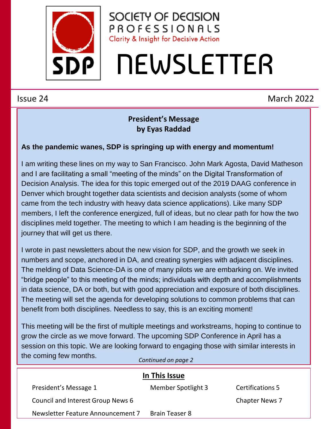

SOCIETY OF DECISION PROFESSIONALS **Clarity & Insight for Decisive Action** 

# **NEWSLETTER**

### Issue 24 March 2022

#### **President's Message by Eyas Raddad**

#### **As the pandemic wanes, SDP is springing up with energy and momentum!**

I am writing these lines on my way to San Francisco. John Mark Agosta, David Matheson and I are facilitating a small "meeting of the minds" on the Digital Transformation of Decision Analysis. The idea for this topic emerged out of the 2019 DAAG conference in Denver which brought together data scientists and decision analysts (some of whom came from the tech industry with heavy data science applications). Like many SDP members, I left the conference energized, full of ideas, but no clear path for how the two disciplines meld together. The meeting to which I am heading is the beginning of the journey that will get us there.

I wrote in past newsletters about the new vision for SDP, and the growth we seek in numbers and scope, anchored in DA, and creating synergies with adjacent disciplines. The melding of Data Science-DA is one of many pilots we are embarking on. We invited "bridge people" to this meeting of the minds; individuals with depth and accomplishments in data science, DA or both, but with good appreciation and exposure of both disciplines. The meeting will set the agenda for developing solutions to common problems that can benefit from both disciplines. Needless to say, this is an exciting moment!

This meeting will be the first of multiple meetings and workstreams, hoping to continue to grow the circle as we move forward. The upcoming SDP Conference in April has a session on this topic. We are looking forward to engaging those with similar interests in the coming few months. *Continued on page 2*

| In This Issue                     |                       |                       |
|-----------------------------------|-----------------------|-----------------------|
| President's Message 1             | Member Spotlight 3    | Certifications 5      |
| Council and Interest Group News 6 |                       | <b>Chapter News 7</b> |
| Newsletter Feature Announcement 7 | <b>Brain Teaser 8</b> |                       |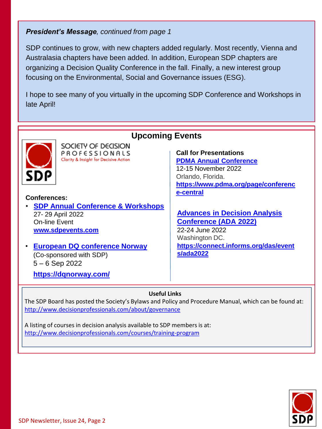#### *President's Message, continued from page 1*

SDP continues to grow, with new chapters added regularly. Most recently, Vienna and Australasia chapters have been added. In addition, European SDP chapters are organizing a Decision Quality Conference in the fall. Finally, a new interest group focusing on the Environmental, Social and Governance issues (ESG).

I hope to see many of you virtually in the upcoming SDP Conference and Workshops in late April!



#### **Useful Links**

The SDP Board has posted the Society's Bylaws and Policy and Procedure Manual, which can be found at: <http://www.decisionprofessionals.com/about/governance>

A listing of courses in decision analysis available to SDP members is at: <http://www.decisionprofessionals.com/courses/training-program>

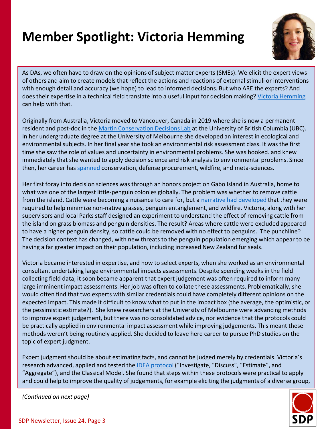## **Member Spotlight: Victoria Hemming**



As DAs, we often have to draw on the opinions of subject matter experts (SMEs). We elicit the expert views of others and aim to create models that reflect the actions and reactions of external stimuli or interventions with enough detail and accuracy (we hope) to lead to informed decisions. But who ARE the experts? And does their expertise in a technical field translate into a useful input for decision making? [Victoria Hemming](https://hemmingresearch.com/) can help with that.

Originally from Australia, Victoria moved to Vancouver, Canada in 2019 where she is now a permanent resident and post-doc in the [Martin Conservation Decisions Lab](https://www.taramartin.org/) at the University of British Columbia (UBC). In her undergraduate degree at the University of Melbourne she developed an interest in ecological and environmental subjects. In her final year she took an environmental risk assessment class. It was the first time she saw the role of values and uncertainty in environmental problems. She was hooked. and knew immediately that she wanted to apply decision science and risk analysis to environmental problems. Since then, her career has [spanned](https://scholar.google.com/citations?user=vOEhZJIAAAAJ&hl=en&oi=ao) conservation, defense procurement, wildfire, and meta-sciences.

Her first foray into decision sciences was through an honors project on Gabo Island in Australia, home to what was one of the largest little-penguin colonies globally. The problem was whether to remove cattle from the island. Cattle were becoming a nuisance to care for, but a [narrative had developed](https://www.abc.net.au/news/2019-05-03/gabo-island-little-penguins-blocked-from-burrows-by-kikuyu-grass/11073470) that they were required to help minimize non-native grasses, penguin entanglement, and wildfire. Victoria, along with her supervisors and local Parks staff designed an experiment to understand the effect of removing cattle from the island on grass biomass and penguin densities. The result? Areas where cattle were excluded appeared to have a higher penguin density, so cattle could be removed with no effect to penguins. The punchline? The decision context has changed, with new threats to the penguin population emerging which appear to be having a far greater impact on their population, including increased New Zealand fur seals.

Victoria became interested in expertise, and how to select experts, when she worked as an environmental consultant undertaking large environmental impacts assessments. Despite spending weeks in the field collecting field data, it soon became apparent that expert judgement was often required to inform many large imminent impact assessments. Her job was often to collate these assessments. Problematically, she would often find that two experts with similar credentials could have completely different opinions on the expected impact. This made it difficult to know what to put in the impact box (the average, the optimistic, or the pessimistic estimate?). She knew researchers at the University of Melbourne were advancing methods to improve expert judgement, but there was no consolidated advice, nor evidence that the protocols could be practically applied in environmental impact assessment while improving judgements. This meant these methods weren't being routinely applied. She decided to leave here career to pursue PhD studies on the topic of expert judgment.

Expert judgment should be about estimating facts, and cannot be judged merely by credentials. Victoria's research advanced, applied and tested the **[IDEA protocol](https://methodsblog.com/2018/03/27/idea-protocol-2/)** ("Investigate, "Discuss", "Estimate", and "Aggregate"), and the Classical Model. She found that steps within these protocols were practical to apply and could help to improve the quality of judgements, for example eliciting the judgments of a diverse group,



*(Continued on next page)*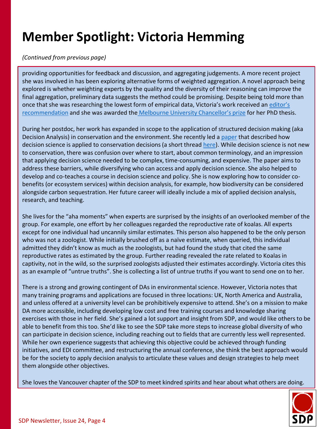## **Member Spotlight: Victoria Hemming**

#### *(Continued from previous page)*

providing opportunities for feedback and discussion, and aggregating judgements. A more recent project she was involved in has been exploring alternative forms of weighted aggregation. A novel approach being explored is whether weighting experts by the quality and the diversity of their reasoning can improve the final aggregation, preliminary data suggests the method could be promising. Despite being told more than [once that she was researching the lowest form of empirical data, Victoria's work received an](https://methodsblog.com/2018/03/08/idea-protocol/) editor's recommendation and she was awarded the [Melbourne University Chancellor's prize](https://biosciences.unimelb.edu.au/news/hbos/victoria-hemming-humans-of-biosciences) for her PhD thesis.

During her postdoc, her work has expanded in scope to the application of structured decision making (aka Decision Analysis) in conservation and the environment. She recently led a [paper](https://conbio.onlinelibrary.wiley.com/doi/full/10.1111/cobi.13868) that described how decision science is applied to conservation decisions (a short thread [here\)](https://twitter.com/v_hemming/status/1488649702987878400?s=20&t=48zAM4F5IdcZWFSv8ILGng). While decision science is not new to conservation, there was confusion over where to start, about common terminology, and an impression that applying decision science needed to be complex, time-consuming, and expensive. The paper aims to address these barriers, while diversifying who can access and apply decision science. She also helped to develop and co-teaches a course in decision science and policy. She is now exploring how to consider cobenefits (or ecosystem services) within decision analysis, for example, how biodiversity can be considered alongside carbon sequestration. Her future career will ideally include a mix of applied decision analysis, research, and teaching.

She livesfor the "aha moments" when experts are surprised by the insights of an overlooked member of the group. For example, one effort by her colleagues regarded the reproductive rate of koalas. All experts except for one individual had uncannily similar estimates. This person also happened to be the only person who was not a zoologist. While initially brushed off as a naïve estimate, when queried, this individual admitted they didn't know as much as the zoologists, but had found the study that cited the same reproductive rates as estimated by the group. Further reading revealed the rate related to Koalas in captivity, not in the wild, so the surprised zoologists adjusted their estimates accordingly. Victoria cites this as an example of "untrue truths". She is collecting a list of untrue truths if you want to send one on to her.

There is a strong and growing contingent of DAs in environmental science. However, Victoria notes that many training programs and applications are focused in three locations: UK, North America and Australia, and unless offered at a university level can be prohibitively expensive to attend. She's on a mission to make DA more accessible, including developing low cost and free training courses and knowledge sharing exercises with those in her field. She's gained a lot support and insight from SDP, and would like others to be able to benefit from this too. She'd like to see the SDP take more steps to increase global diversity of who can participate in decision science, including reaching out to fields that are currently less well represented. While her own experience suggests that achieving this objective could be achieved through funding initiatives, and EDI committee, and restructuring the annual conference, she think the best approach would be for the society to apply decision analysis to articulate these values and design strategies to help meet them alongside other objectives.

She loves the Vancouver chapter of the SDP to meet kindred spirits and hear about what others are doing.

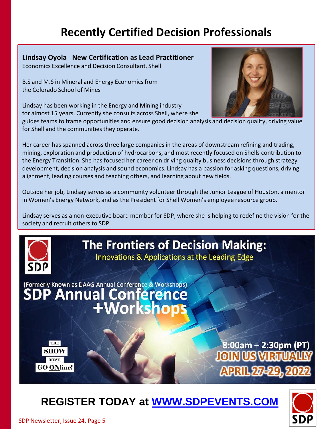## **Recently Certified Decision Professionals**

**Lindsay Oyola New Certification as Lead Practitioner** Economics Excellence and Decision Consultant, Shell

B.S and M.S in Mineral and Energy Economics from the Colorado School of Mines

Lindsay has been working in the Energy and Mining industry for almost 15 years. Currently she consults across Shell, where she

guides teams to frame opportunities and ensure good decision analysis and decision quality, driving value for Shell and the communities they operate.

Her career has spanned across three large companies in the areas of downstream refining and trading, mining, exploration and production of hydrocarbons, and most recently focused on Shells contribution to the Energy Transition. She has focused her career on driving quality business decisions through strategy development, decision analysis and sound economics. Lindsay has a passion for asking questions, driving alignment, leading courses and teaching others, and learning about new fields.

Outside her job, Lindsay serves as a community volunteer through the Junior League of Houston, a mentor in Women's Energy Network, and as the President for Shell Women's employee resource group.

Lindsay serves as a non-executive board member for SDP, where she is helping to redefine the vision for the society and recruit others to SDP.

## **The Frontiers of Decision Making:** Innovations & Applications at the Leading Edge

(Formerly Known as DAAG Annual Conference & Workshops) **SDP Annual Conference +Worksh** 



8:00am – 2:30pm (PT **APRIL 27-29** 

## **REGISTER TODAY at [WWW.SDPEVENTS.COM](http://www.sdpevents.com/)**



SDP Newsletter, Issue 24, Page 5

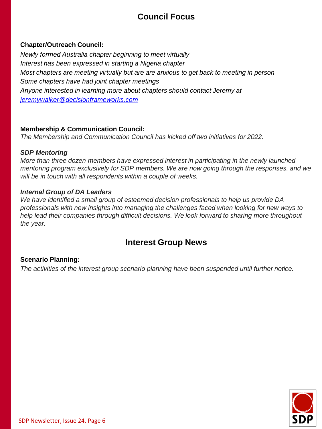#### **Council Focus**

#### **Chapter/Outreach Council:**

*Newly formed Australia chapter beginning to meet virtually Interest has been expressed in starting a Nigeria chapter Most chapters are meeting virtually but are are anxious to get back to meeting in person Some chapters have had joint chapter meetings Anyone interested in learning more about chapters should contact Jeremy at [jeremywalker@decisionframeworks.com](mailto:jeremywalker@decisionframeworks.com)*

#### **Membership & Communication Council:**

*The Membership and Communication Council has kicked off two initiatives for 2022.*

#### *SDP Mentoring*

*More than three dozen members have expressed interest in participating in the newly launched mentoring program exclusively for SDP members. We are now going through the responses, and we will be in touch with all respondents within a couple of weeks.*

#### *Internal Group of DA Leaders*

*We have identified a small group of esteemed decision professionals to help us provide DA professionals with new insights into managing the challenges faced when looking for new ways to help lead their companies through difficult decisions. We look forward to sharing more throughout the year.*

#### **Interest Group News**

#### **Scenario Planning:**

*The activities of the interest group scenario planning have been suspended until further notice.*

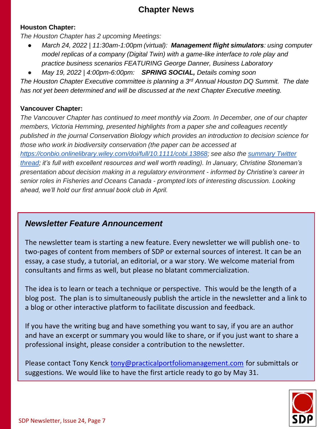#### **Chapter News**

#### **Houston Chapter:**

*The Houston Chapter has 2 upcoming Meetings:*

- *March 24, 2022 | 11:30am-1:00pm (virtual): Management flight simulators: using computer model replicas of a company (Digital Twin) with a game-like interface to role play and practice business scenarios FEATURING George Danner, Business Laboratory*
- *May 19, 2022 | 4:00pm-6:00pm: SPRING SOCIAL, Details coming soon*

*The Houston Chapter Executive committee is planning a 3rd Annual Houston DQ Summit. The date has not yet been determined and will be discussed at the next Chapter Executive meeting.*

#### **Vancouver Chapter:**

*The Vancouver Chapter has continued to meet monthly via Zoom. In December, one of our chapter members, Victoria Hemming, presented highlights from a paper she and colleagues recently published in the journal Conservation Biology which provides an introduction to decision science for those who work in biodiversity conservation (the paper can be accessed at <https://conbio.onlinelibrary.wiley.com/doi/full/10.1111/cobi.13868>[; see also the summary Twitter](https://twitter.com/v_hemming/status/1488649702987878400?s=20&t=4uerut6NZ6_KK3GWasAxHg)  thread; it's full with excellent resources and well worth reading). In January, Christine Stoneman's presentation about decision making in a regulatory environment - informed by Christine's career in senior roles in Fisheries and Oceans Canada - prompted lots of interesting discussion. Looking ahead, we'll hold our first annual book club in April.*

#### *Newsletter Feature Announcement*

The newsletter team is starting a new feature. Every newsletter we will publish one- to two-pages of content from members of SDP or external sources of interest. It can be an essay, a case study, a tutorial, an editorial, or a war story. We welcome material from consultants and firms as well, but please no blatant commercialization.

The idea is to learn or teach a technique or perspective. This would be the length of a blog post. The plan is to simultaneously publish the article in the newsletter and a link to a blog or other interactive platform to facilitate discussion and feedback.

If you have the writing bug and have something you want to say, if you are an author and have an excerpt or summary you would like to share, or if you just want to share a professional insight, please consider a contribution to the newsletter.

Please contact Tony Kenck [tony@practicalportfoliomanagement.com](mailto:tony@practicalportfoliomanagement.com) for submittals or suggestions. We would like to have the first article ready to go by May 31.

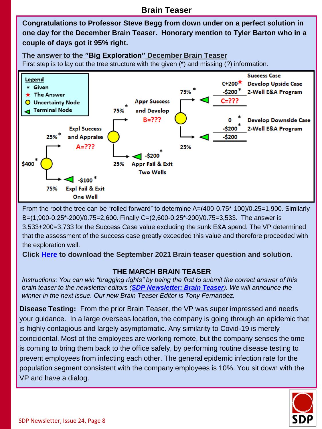**Congratulations to Professor Steve Begg from down under on a perfect solution in one day for the December Brain Teaser. Honorary mention to Tyler Barton who in a couple of days got it 95% right.** 

**The answer to the "Big Exploration" December Brain Teaser** First step is to lay out the tree structure with the given (\*) and missing (?) information.



From the root the tree can be "rolled forward" to determine A=(400-0.75\*-100)/0.25=1,900. Similarly B=(1,900-0.25\*-200)/0.75=2,600. Finally C=(2,600-0.25\*-200)/0.75=3,533. The answer is 3,533+200=3,733 for the Success Case value excluding the sunk E&A spend. The VP determined that the assessment of the success case greatly exceeded this value and therefore proceeded with the exploration well.

**Click [Here](https://www.decisionprofessionals.com/assets/newsletter/SEPT2021 BRAIN TEASER solution.pdf) to download the September 2021 Brain teaser question and solution.**

#### **THE MARCH BRAIN TEASER**

*Instructions: You can win "bragging rights" by being the first to submit the correct answer of this brain teaser to the newsletter editors ([SDP Newsletter: Brain Teaser](mailto:newsletter@decisionprofessionals.com?subject=SDP%20Newsletter:%20Brain%20Teaser)). We will announce the winner in the next issue. Our new Brain Teaser Editor is Tony Fernandez.*

**Disease Testing:** From the prior Brain Teaser, the VP was super impressed and needs your guidance. In a large overseas location, the company is going through an epidemic that is highly contagious and largely asymptomatic. Any similarity to Covid-19 is merely coincidental. Most of the employees are working remote, but the company senses the time is coming to bring them back to the office safely, by performing routine disease testing to prevent employees from infecting each other. The general epidemic infection rate for the population segment consistent with the company employees is 10%. You sit down with the VP and have a dialog.